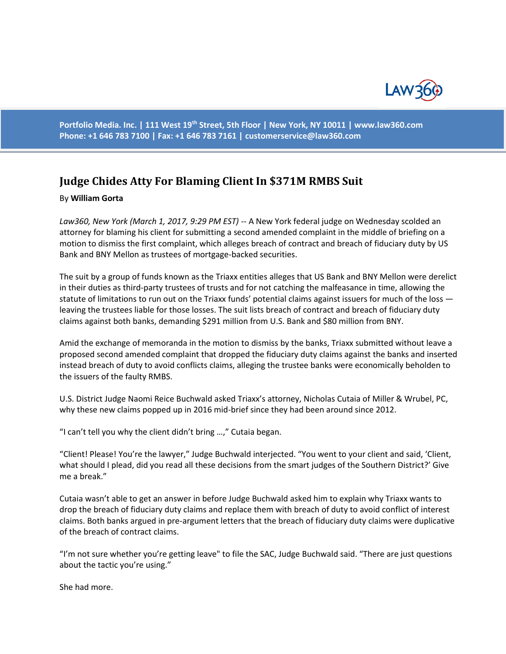

**Portfolio Media. Inc. | 111 West 19th Street, 5th Floor | New York, NY 10011 | www.law360.com Phone: +1 646 783 7100 | Fax: +1 646 783 7161 | [customerservice@law360.com](mailto:customerservice@law360.com)**

## **Judge Chides Atty For Blaming Client In \$371M RMBS Suit**

## By **William Gorta**

*Law360, New York (March 1, 2017, 9:29 PM EST) --* A New York federal judge on Wednesday scolded an attorney for blaming his client for submitting a second amended complaint in the middle of briefing on a motion to dismiss the first complaint, which alleges breach of contract and breach of fiduciary duty by US Bank and BNY Mellon as trustees of mortgage-backed securities.

The suit by a group of funds known as the Triaxx entities alleges that US Bank and BNY Mellon were derelict in their duties as third-party trustees of trusts and for not catching the malfeasance in time, allowing the statute of limitations to run out on the Triaxx funds' potential claims against issuers for much of the loss leaving the trustees liable for those losses. The suit lists breach of contract and breach of fiduciary duty claims against both banks, demanding \$291 million from U.S. Bank and \$80 million from BNY.

Amid the exchange of memoranda in the motion to dismiss by the banks, Triaxx submitted without leave a proposed second amended complaint that dropped the fiduciary duty claims against the banks and inserted instead breach of duty to avoid conflicts claims, alleging the trustee banks were economically beholden to the issuers of the faulty RMBS.

U.S. District Judge Naomi Reice Buchwald asked Triaxx's attorney, Nicholas Cutaia of Miller & Wrubel, PC, why these new claims popped up in 2016 mid-brief since they had been around since 2012.

"I can't tell you why the client didn't bring …," Cutaia began.

"Client! Please! You're the lawyer," Judge Buchwald interjected. "You went to your client and said, 'Client, what should I plead, did you read all these decisions from the smart judges of the Southern District?' Give me a break."

Cutaia wasn't able to get an answer in before Judge Buchwald asked him to explain why Triaxx wants to drop the breach of fiduciary duty claims and replace them with breach of duty to avoid conflict of interest claims. Both banks argued in pre-argument letters that the breach of fiduciary duty claims were duplicative of the breach of contract claims.

"I'm not sure whether you're getting leave" to file the SAC, Judge Buchwald said. "There are just questions about the tactic you're using."

She had more.